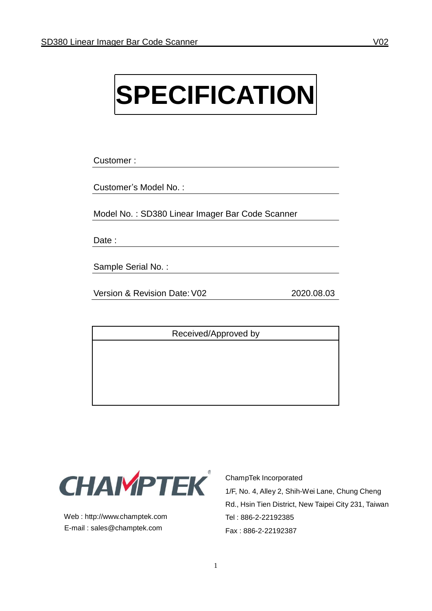# **SPECIFICATION**

Customer :

Customer's Model No. :

Model No. : SD380 Linear Imager Bar Code Scanner

Date :

Sample Serial No. :

Version & Revision Date:V02 2020.08.03

Received/Approved by



Web : [http://www.champtek.com](http://www.champtek.com/) E-mail : [sales@champtek.com](mailto:sales@champtek.com)

ChampTek Incorporated 1/F, No. 4, Alley 2, Shih-Wei Lane, Chung Cheng Rd., Hsin Tien District, New Taipei City 231, Taiwan Tel : 886-2-22192385 Fax : 886-2-22192387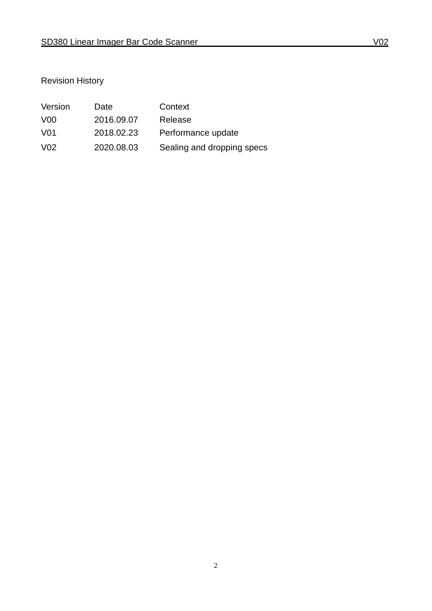### Revision History

| Version         | Date       | Context                    |
|-----------------|------------|----------------------------|
| V <sub>0</sub>  | 2016.09.07 | Release                    |
| V01             | 2018.02.23 | Performance update         |
| V <sub>02</sub> | 2020.08.03 | Sealing and dropping specs |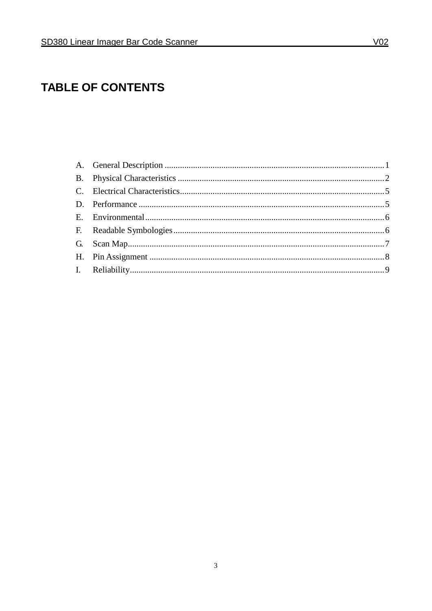# **TABLE OF CONTENTS**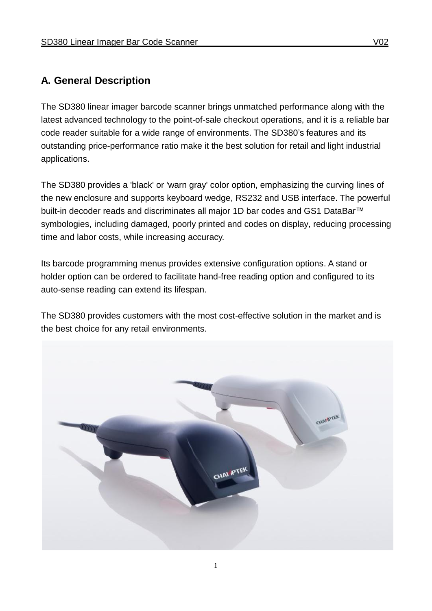#### **A. General Description**

The SD380 linear imager barcode scanner brings unmatched performance along with the latest advanced technology to the point-of-sale checkout operations, and it is a reliable bar code reader suitable for a wide range of environments. The SD380's features and its outstanding price-performance ratio make it the best solution for retail and light industrial applications.

The SD380 provides a 'black' or 'warn gray' color option, emphasizing the curving lines of the new enclosure and supports keyboard wedge, RS232 and USB interface. The powerful built-in decoder reads and discriminates all major 1D bar codes and GS1 DataBar™ symbologies, including damaged, poorly printed and codes on display, reducing processing time and labor costs, while increasing accuracy.

Its barcode programming menus provides extensive configuration options. A stand or holder option can be ordered to facilitate hand-free reading option and configured to its auto-sense reading can extend its lifespan.

The SD380 provides customers with the most cost-effective solution in the market and is the best choice for any retail environments.

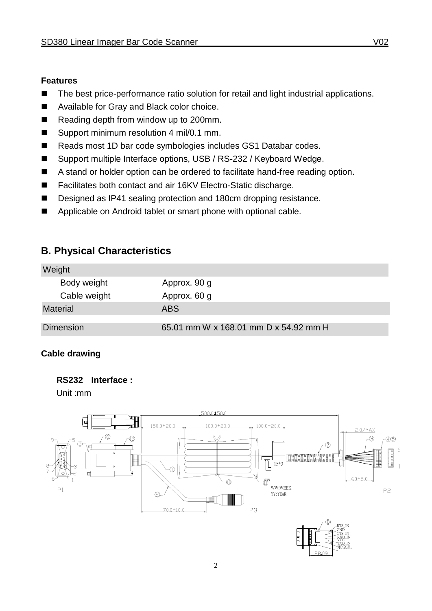#### **Features**

- The best price-performance ratio solution for retail and light industrial applications.
- Available for Gray and Black color choice.
- Reading depth from window up to 200mm.
- Support minimum resolution 4 mil/0.1 mm.
- Reads most 1D bar code symbologies includes GS1 Databar codes.
- Support multiple Interface options, USB / RS-232 / Keyboard Wedge.
- A stand or holder option can be ordered to facilitate hand-free reading option.
- Facilitates both contact and air 16KV Electro-Static discharge.
- Designed as IP41 sealing protection and 180cm dropping resistance.
- Applicable on Android tablet or smart phone with optional cable.

#### **B. Physical Characteristics**

| Weight           |                                       |
|------------------|---------------------------------------|
| Body weight      | Approx. 90 g                          |
| Cable weight     | Approx. 60 g                          |
| <b>Material</b>  | <b>ABS</b>                            |
| <b>Dimension</b> | 65.01 mm W x 168.01 mm D x 54.92 mm H |

#### **Cable drawing**

#### **RS232 Interface :**

Unit :mm

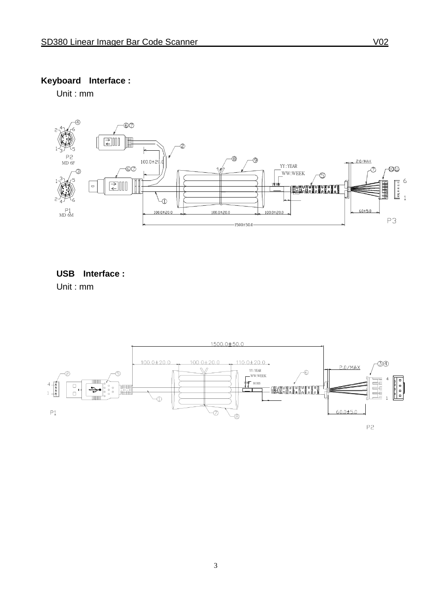### **Keyboard Interface :**

Unit : mm



**USB Interface :** Unit : mm

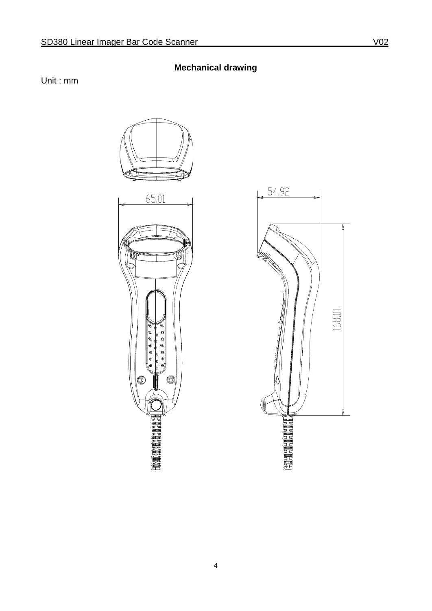Unit : mm





**Mechanical drawing**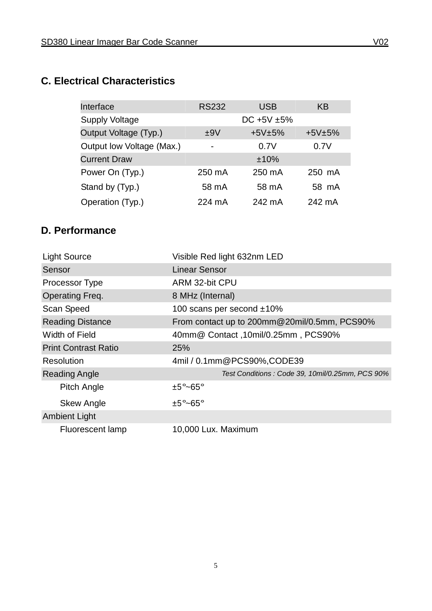# **C. Electrical Characteristics**

| Interface                 | <b>RS232</b>             | <b>USB</b>      | <b>KB</b> |
|---------------------------|--------------------------|-----------------|-----------|
| <b>Supply Voltage</b>     |                          | DC +5V $\pm$ 5% |           |
| Output Voltage (Typ.)     | ±9V                      | $+5V±5%$        | $+5V±5%$  |
| Output low Voltage (Max.) | $\overline{\phantom{a}}$ | 0.7V            | 0.7V      |
| <b>Current Draw</b>       |                          | ±10%            |           |
| Power On (Typ.)           | 250 mA                   | 250 mA          | 250 mA    |
| Stand by (Typ.)           | 58 mA                    | 58 mA           | 58 mA     |
| Operation (Typ.)          | 224 mA                   | 242 mA          | 242 mA    |

# **D. Performance**

| <b>Light Source</b>         | Visible Red light 632nm LED                     |
|-----------------------------|-------------------------------------------------|
| Sensor                      | <b>Linear Sensor</b>                            |
| Processor Type              | ARM 32-bit CPU                                  |
| <b>Operating Freq.</b>      | 8 MHz (Internal)                                |
| Scan Speed                  | 100 scans per second ±10%                       |
| <b>Reading Distance</b>     | From contact up to 200mm@20mil/0.5mm, PCS90%    |
| <b>Width of Field</b>       | 40mm@ Contact, 10mil/0.25mm, PCS90%             |
| <b>Print Contrast Ratio</b> | 25%                                             |
| Resolution                  | 4mil / 0.1mm@PCS90%,CODE39                      |
| <b>Reading Angle</b>        | Test Conditions: Code 39, 10mil/0.25mm, PCS 90% |
| <b>Pitch Angle</b>          | $\pm 5^{\circ}$ ~65°                            |
| <b>Skew Angle</b>           | $±5^{\circ}$ ~65°                               |
| <b>Ambient Light</b>        |                                                 |
| <b>Fluorescent lamp</b>     | 10,000 Lux. Maximum                             |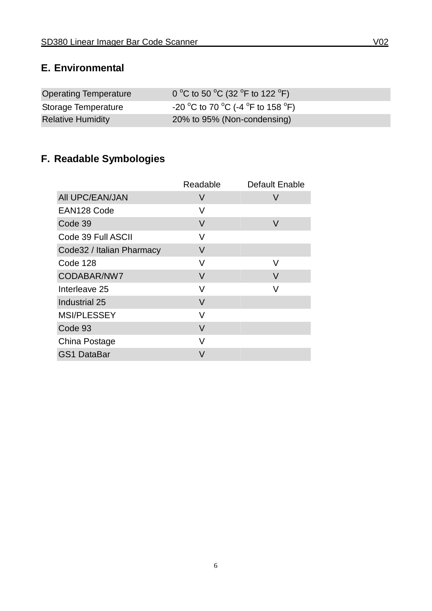#### **E. Environmental**

| Operating Temperature    | 0 °C to 50 °C (32 °F to 122 °F)   |
|--------------------------|-----------------------------------|
| Storage Temperature      | -20 °C to 70 °C (-4 °F to 158 °F) |
| <b>Relative Humidity</b> | 20% to 95% (Non-condensing)       |

# **F. Readable Symbologies**

|                           | Readable | <b>Default Enable</b> |
|---------------------------|----------|-----------------------|
| All UPC/EAN/JAN           | V        | V                     |
| EAN128 Code               | V        |                       |
| Code 39                   | V        | V                     |
| Code 39 Full ASCII        | V        |                       |
| Code32 / Italian Pharmacy | V        |                       |
| Code 128                  | V        | V                     |
| CODABAR/NW7               | V        | V                     |
| Interleave 25             | V        | V                     |
| Industrial 25             | V        |                       |
| <b>MSI/PLESSEY</b>        | V        |                       |
| Code 93                   | V        |                       |
| China Postage             | V        |                       |
| <b>GS1 DataBar</b>        | V        |                       |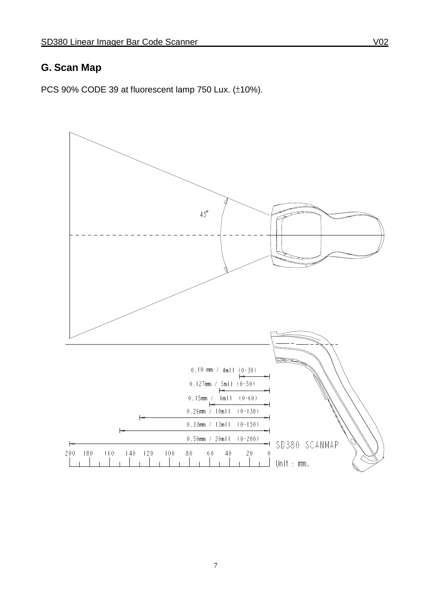### **G. Scan Map**

PCS 90% CODE 39 at fluorescent lamp 750 Lux. (±10%).

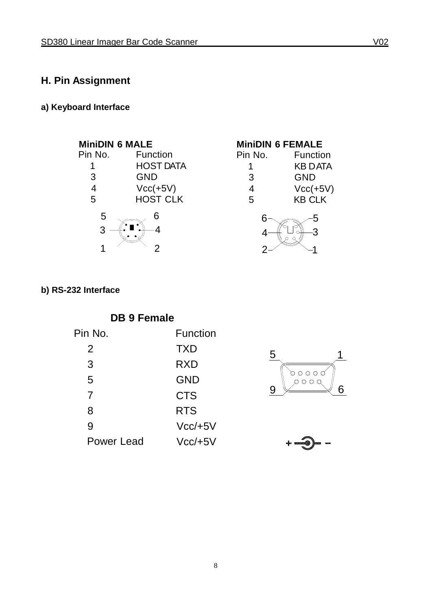### **H. Pin Assignment**

#### **a) Keyboard Interface**



| Function       |
|----------------|
| <b>KB DATA</b> |
| <b>GND</b>     |
| $Vcc(+5V)$     |
| <b>KB CLK</b>  |
|                |



#### **b) RS-232 Interface**

| <b>DB 9 Female</b> |            |  |
|--------------------|------------|--|
| Pin No.            | Function   |  |
| 2                  | <b>TXD</b> |  |
| 3                  | RXD        |  |
| 5                  | GND        |  |
| 7                  | <b>CTS</b> |  |
| 8                  | <b>RTS</b> |  |
| 9                  | $Vcc/+5V$  |  |
| <b>Power Lead</b>  | $Vcc/+5V$  |  |